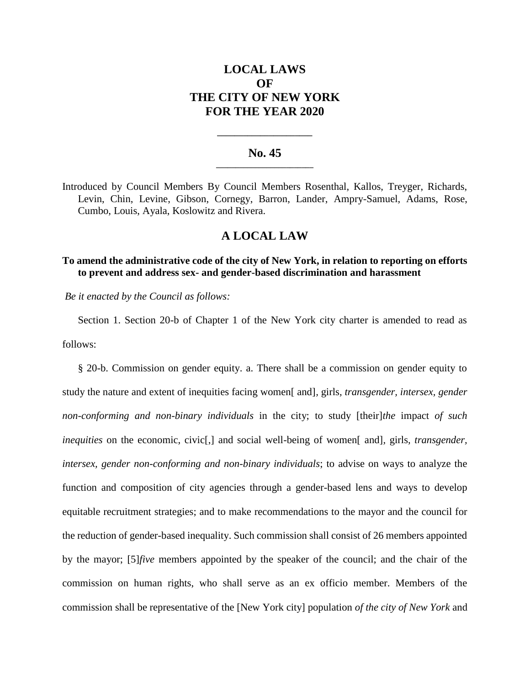# **LOCAL LAWS OF THE CITY OF NEW YORK FOR THE YEAR 2020**

## **No. 45 \_\_\_\_\_\_\_\_\_\_\_\_\_\_\_\_\_\_\_\_\_\_\_\_\_**

**\_\_\_\_\_\_\_\_\_\_\_\_\_\_\_\_\_\_\_\_\_\_**

Introduced by Council Members By Council Members Rosenthal, Kallos, Treyger, Richards, Levin, Chin, Levine, Gibson, Cornegy, Barron, Lander, Ampry-Samuel, Adams, Rose, Cumbo, Louis, Ayala, Koslowitz and Rivera.

## **A LOCAL LAW**

## **To amend the administrative code of the city of New York, in relation to reporting on efforts to prevent and address sex- and gender-based discrimination and harassment**

*Be it enacted by the Council as follows:*

Section 1. Section 20-b of Chapter 1 of the New York city charter is amended to read as follows:

§ 20-b. Commission on gender equity. a. There shall be a commission on gender equity to study the nature and extent of inequities facing women[ and]*,* girls*, transgender, intersex, gender non-conforming and non-binary individuals* in the city; to study [their]*the* impact *of such inequities* on the economic, civic<sup>[1]</sup>, and social well-being of women<sup>[</sup> and<sup>]</sup>, girls, *transgender*, *intersex, gender non-conforming and non-binary individuals*; to advise on ways to analyze the function and composition of city agencies through a gender-based lens and ways to develop equitable recruitment strategies; and to make recommendations to the mayor and the council for the reduction of gender-based inequality. Such commission shall consist of 26 members appointed by the mayor; [5]*five* members appointed by the speaker of the council; and the chair of the commission on human rights, who shall serve as an ex officio member. Members of the commission shall be representative of the [New York city] population *of the city of New York* and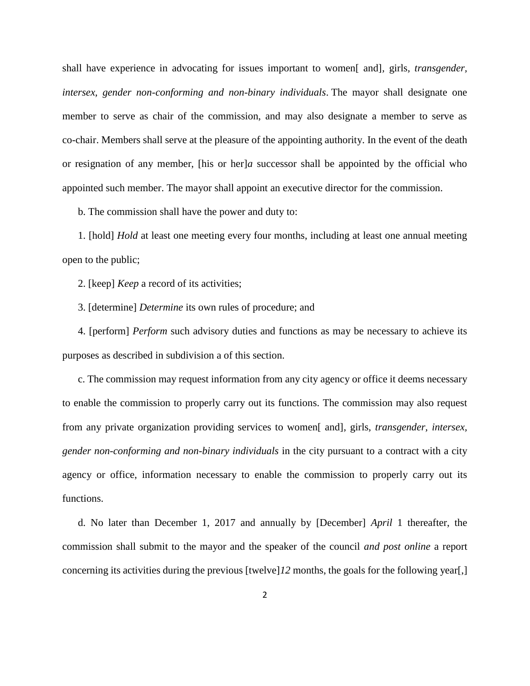shall have experience in advocating for issues important to women[ and]*,* girls*, transgender, intersex, gender non-conforming and non-binary individuals*. The mayor shall designate one member to serve as chair of the commission, and may also designate a member to serve as co-chair. Members shall serve at the pleasure of the appointing authority. In the event of the death or resignation of any member, [his or her]*a* successor shall be appointed by the official who appointed such member. The mayor shall appoint an executive director for the commission.

b. The commission shall have the power and duty to:

1. [hold] *Hold* at least one meeting every four months, including at least one annual meeting open to the public;

2. [keep] *Keep* a record of its activities;

3. [determine] *Determine* its own rules of procedure; and

4. [perform] *Perform* such advisory duties and functions as may be necessary to achieve its purposes as described in subdivision a of this section.

c. The commission may request information from any city agency or office it deems necessary to enable the commission to properly carry out its functions. The commission may also request from any private organization providing services to women[ and]*,* girls*, transgender, intersex, gender non-conforming and non-binary individuals* in the city pursuant to a contract with a city agency or office, information necessary to enable the commission to properly carry out its functions.

d. No later than December 1, 2017 and annually by [December] *April* 1 thereafter, the commission shall submit to the mayor and the speaker of the council *and post online* a report concerning its activities during the previous [twelve]*12* months, the goals for the following year[,]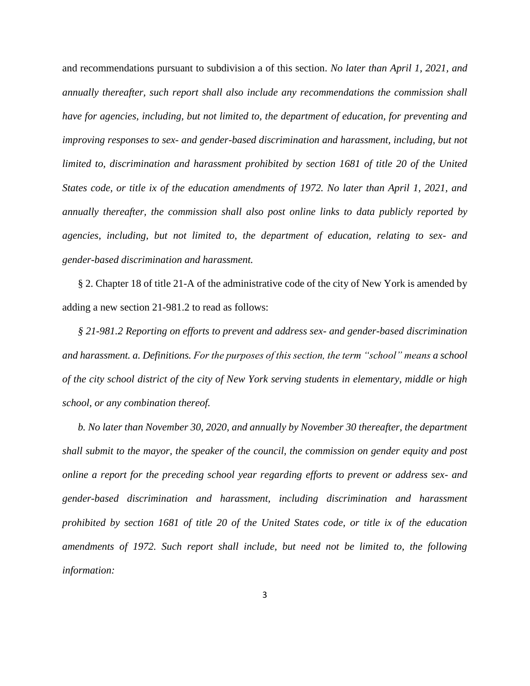and recommendations pursuant to subdivision a of this section. *No later than April 1, 2021, and annually thereafter, such report shall also include any recommendations the commission shall have for agencies, including, but not limited to, the department of education, for preventing and improving responses to sex- and gender-based discrimination and harassment, including, but not limited to, discrimination and harassment prohibited by section 1681 of title 20 of the United States code, or title ix of the education amendments of 1972. No later than April 1, 2021, and annually thereafter, the commission shall also post online links to data publicly reported by agencies, including, but not limited to, the department of education, relating to sex- and gender-based discrimination and harassment.* 

§ 2. Chapter 18 of title 21-A of the administrative code of the city of New York is amended by adding a new section 21-981.2 to read as follows:

*§ 21-981.2 Reporting on efforts to prevent and address sex- and gender-based discrimination and harassment. a. Definitions. For the purposes of this section, the term "school" means a school of the city school district of the city of New York serving students in elementary, middle or high school, or any combination thereof.*

*b. No later than November 30, 2020, and annually by November 30 thereafter, the department shall submit to the mayor, the speaker of the council, the commission on gender equity and post online a report for the preceding school year regarding efforts to prevent or address sex- and gender-based discrimination and harassment, including discrimination and harassment prohibited by section 1681 of title 20 of the United States code, or title ix of the education amendments of 1972. Such report shall include, but need not be limited to, the following information:*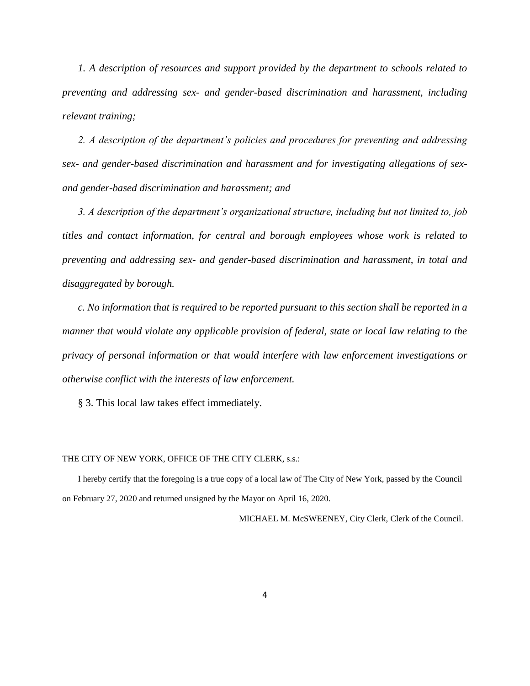*1. A description of resources and support provided by the department to schools related to preventing and addressing sex- and gender-based discrimination and harassment, including relevant training;* 

*2. A description of the department's policies and procedures for preventing and addressing sex- and gender-based discrimination and harassment and for investigating allegations of sexand gender-based discrimination and harassment; and*

*3. A description of the department's organizational structure, including but not limited to, job titles and contact information, for central and borough employees whose work is related to preventing and addressing sex- and gender-based discrimination and harassment, in total and disaggregated by borough.*

*c. No information that is required to be reported pursuant to this section shall be reported in a manner that would violate any applicable provision of federal, state or local law relating to the privacy of personal information or that would interfere with law enforcement investigations or otherwise conflict with the interests of law enforcement.* 

§ 3. This local law takes effect immediately.

#### THE CITY OF NEW YORK, OFFICE OF THE CITY CLERK, s.s.:

I hereby certify that the foregoing is a true copy of a local law of The City of New York, passed by the Council on February 27, 2020 and returned unsigned by the Mayor on April 16, 2020.

MICHAEL M. McSWEENEY, City Clerk, Clerk of the Council.